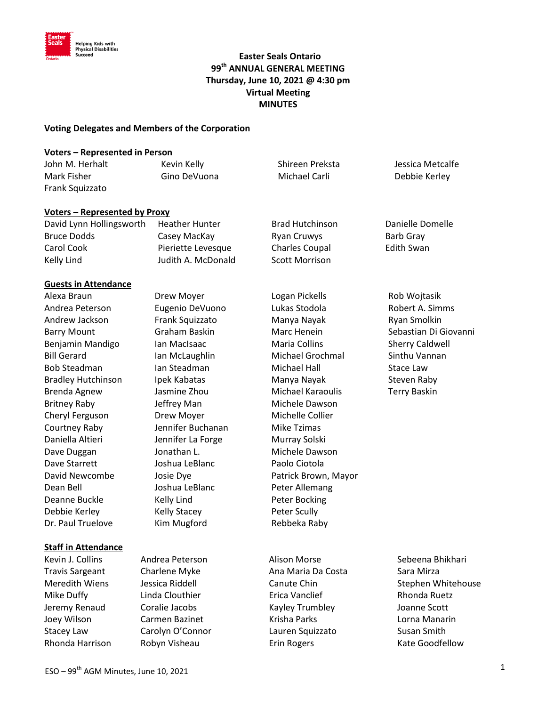

# **Easter Seals Ontario**<br><sup>Succeed</sup> Caster Seals Ontario **99th ANNUAL GENERAL MEETING Thursday, June 10, 2021 @ 4:30 pm Virtual Meeting MINUTES**

#### **Voting Delegates and Members of the Corporation**

#### **Voters – Represented in Person**

| John M. Herhalt | Kevin Kelly  | Shireen Preksta | Jessica Metcalfe |
|-----------------|--------------|-----------------|------------------|
| Mark Fisher     | Gino DeVuona | Michael Carli   | Debbie Kerley    |
| Frank Squizzato |              |                 |                  |

#### **Voters – Represented by Proxy**

| David Lynn Hollingsworth | <b>Heather Hunter</b> | <b>Brad Hutchinson</b> | Danielle Domelle |
|--------------------------|-----------------------|------------------------|------------------|
| Bruce Dodds              | Casey MacKay          | Ryan Cruwys            | Barb Gray        |
| Carol Cook               | Pieriette Levesque    | <b>Charles Coupal</b>  | Edith Swan       |
| Kelly Lind               | Judith A. McDonald    | <b>Scott Morrison</b>  |                  |

#### **Guests in Attendance**

Britney Raby **Jeffrey Man** Michele Dawson Cheryl Ferguson Drew Moyer Michelle Collier Courtney Raby Jennifer Buchanan Mike Tzimas Daniella Altieri Jennifer La Forge Murray Solski Dave Duggan Jonathan L. Michele Dawson Dave Starrett Joshua LeBlanc Paolo Ciotola Dean Bell **Section** Joshua LeBlanc **Peter Allemang** Deanne Buckle Kelly Lind Peter Bocking Debbie Kerley **Kelly Stacey** Peter Scully Dr. Paul Truelove Kim Mugford Rebbeka Raby

#### **Staff in Attendance**

Alexa Braun Drew Moyer Logan Pickells Rob Wojtasik Andrea Peterson Eugenio DeVuono Lukas Stodola Robert A. Simms Andrew Jackson Frank Squizzato Manya Nayak Ryan Smolkin Barry Mount **Graham Baskin** Marc Henein Sebastian Di Giovanni Benjamin Mandigo Ian MacIsaac Naria Collins Sherry Caldwell Bill Gerard **Ian McLaughlin** Michael Grochmal Sinthu Vannan Bob Steadman Ian Steadman Ian Michael Hall Stace Law Bradley Hutchinson Ipek Kabatas Manya Nayak Manga Steven Raby Brenda Agnew Jasmine Zhou Michael Karaoulis Terry Baskin David Newcombe Josie Dye **Patrick Brown, Mayor** 

Travis Sargeant Charlene Myke Costa Costa Sara Mirza Mike Duffy **Linda Clouthier Linda Clouthier Erica Vanclief Rhonda Ruetz** Rhonda Ruetz Jeremy Renaud Coralie Jacobs Kayley Trumbley Joanne Scott Joey Wilson Carmen Bazinet Krisha Parks Lorna Manarin Stacey Law Carolyn O'Connor Lauren Squizzato Susan Smith Rhonda Harrison Robyn Visheau Erin Rogers Kate Goodfellow

Kevin J. Collins **Andrea Peterson** Alison Morse **Alison Morse** Sebeena Bhikhari Meredith Wiens and Jessica Riddell **Canute Chin** Canute Chin Stephen Whitehouse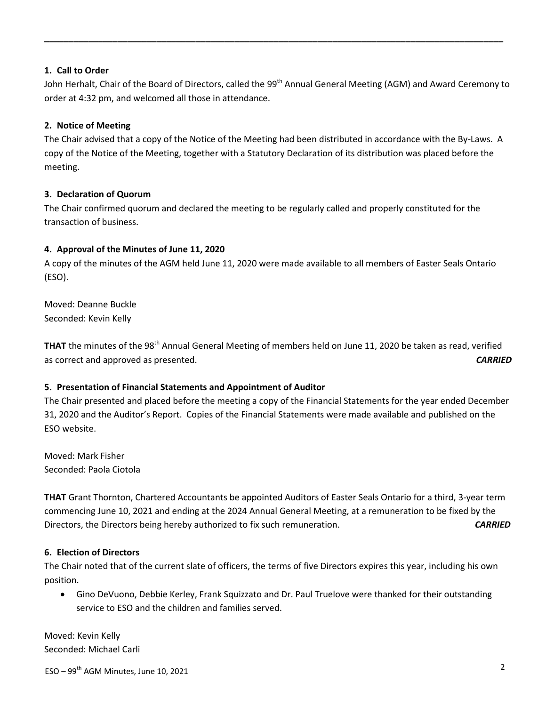### **1. Call to Order**

John Herhalt, Chair of the Board of Directors, called the 99<sup>th</sup> Annual General Meeting (AGM) and Award Ceremony to order at 4:32 pm, and welcomed all those in attendance.

**\_\_\_\_\_\_\_\_\_\_\_\_\_\_\_\_\_\_\_\_\_\_\_\_\_\_\_\_\_\_\_\_\_\_\_\_\_\_\_\_\_\_\_\_\_\_\_\_\_\_\_\_\_\_\_\_\_\_\_\_\_\_\_\_\_\_\_\_\_\_\_\_\_\_\_\_\_\_\_\_\_\_\_\_\_\_\_\_\_\_\_\_\_\_** 

## **2. Notice of Meeting**

The Chair advised that a copy of the Notice of the Meeting had been distributed in accordance with the By-Laws. A copy of the Notice of the Meeting, together with a Statutory Declaration of its distribution was placed before the meeting.

### **3. Declaration of Quorum**

The Chair confirmed quorum and declared the meeting to be regularly called and properly constituted for the transaction of business.

### **4. Approval of the Minutes of June 11, 2020**

A copy of the minutes of the AGM held June 11, 2020 were made available to all members of Easter Seals Ontario (ESO).

Moved: Deanne Buckle Seconded: Kevin Kelly

**THAT** the minutes of the 98<sup>th</sup> Annual General Meeting of members held on June 11, 2020 be taken as read, verified as correct and approved as presented. *CARRIED*

## **5. Presentation of Financial Statements and Appointment of Auditor**

The Chair presented and placed before the meeting a copy of the Financial Statements for the year ended December 31, 2020 and the Auditor's Report. Copies of the Financial Statements were made available and published on the ESO website.

Moved: Mark Fisher Seconded: Paola Ciotola

**THAT** Grant Thornton, Chartered Accountants be appointed Auditors of Easter Seals Ontario for a third, 3-year term commencing June 10, 2021 and ending at the 2024 Annual General Meeting, at a remuneration to be fixed by the Directors, the Directors being hereby authorized to fix such remuneration. *CARRIED*

## **6. Election of Directors**

The Chair noted that of the current slate of officers, the terms of five Directors expires this year, including his own position.

 Gino DeVuono, Debbie Kerley, Frank Squizzato and Dr. Paul Truelove were thanked for their outstanding service to ESO and the children and families served.

Moved: Kevin Kelly Seconded: Michael Carli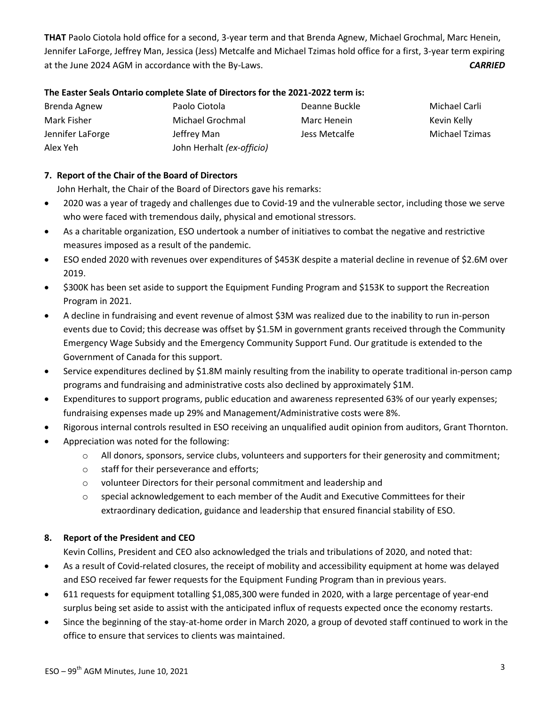**THAT** Paolo Ciotola hold office for a second, 3-year term and that Brenda Agnew, Michael Grochmal, Marc Henein, Jennifer LaForge, Jeffrey Man, Jessica (Jess) Metcalfe and Michael Tzimas hold office for a first, 3-year term expiring at the June 2024 AGM in accordance with the By-Laws. *CARRIED*

#### **The Easter Seals Ontario complete Slate of Directors for the 2021-2022 term is:**

| Brenda Agnew     | Paolo Ciotola             | Deanne Buckle | Michael Carli  |
|------------------|---------------------------|---------------|----------------|
| Mark Fisher      | Michael Grochmal          | Marc Henein   | Kevin Kelly    |
| Jennifer LaForge | Jeffrey Man               | Jess Metcalfe | Michael Tzimas |
| Alex Yeh         | John Herhalt (ex-officio) |               |                |

## **7. Report of the Chair of the Board of Directors**

John Herhalt, the Chair of the Board of Directors gave his remarks:

- 2020 was a year of tragedy and challenges due to Covid-19 and the vulnerable sector, including those we serve who were faced with tremendous daily, physical and emotional stressors.
- As a charitable organization, ESO undertook a number of initiatives to combat the negative and restrictive measures imposed as a result of the pandemic.
- ESO ended 2020 with revenues over expenditures of \$453K despite a material decline in revenue of \$2.6M over 2019.
- \$300K has been set aside to support the Equipment Funding Program and \$153K to support the Recreation Program in 2021.
- A decline in fundraising and event revenue of almost \$3M was realized due to the inability to run in-person events due to Covid; this decrease was offset by \$1.5M in government grants received through the Community Emergency Wage Subsidy and the Emergency Community Support Fund. Our gratitude is extended to the Government of Canada for this support.
- Service expenditures declined by \$1.8M mainly resulting from the inability to operate traditional in-person camp programs and fundraising and administrative costs also declined by approximately \$1M.
- Expenditures to support programs, public education and awareness represented 63% of our yearly expenses; fundraising expenses made up 29% and Management/Administrative costs were 8%.
- Rigorous internal controls resulted in ESO receiving an unqualified audit opinion from auditors, Grant Thornton.
- Appreciation was noted for the following:
	- o All donors, sponsors, service clubs, volunteers and supporters for their generosity and commitment;
	- o staff for their perseverance and efforts;
	- o volunteer Directors for their personal commitment and leadership and
	- o special acknowledgement to each member of the Audit and Executive Committees for their extraordinary dedication, guidance and leadership that ensured financial stability of ESO.

## **8. Report of the President and CEO**

Kevin Collins, President and CEO also acknowledged the trials and tribulations of 2020, and noted that:

- As a result of Covid-related closures, the receipt of mobility and accessibility equipment at home was delayed and ESO received far fewer requests for the Equipment Funding Program than in previous years.
- 611 requests for equipment totalling \$1,085,300 were funded in 2020, with a large percentage of year-end surplus being set aside to assist with the anticipated influx of requests expected once the economy restarts.
- Since the beginning of the stay-at-home order in March 2020, a group of devoted staff continued to work in the office to ensure that services to clients was maintained.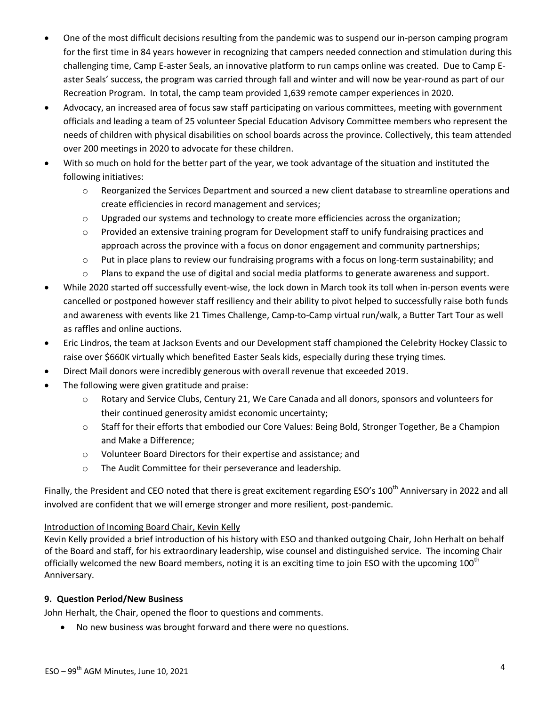- One of the most difficult decisions resulting from the pandemic was to suspend our in-person camping program for the first time in 84 years however in recognizing that campers needed connection and stimulation during this challenging time, Camp E-aster Seals, an innovative platform to run camps online was created. Due to Camp Easter Seals' success, the program was carried through fall and winter and will now be year-round as part of our Recreation Program. In total, the camp team provided 1,639 remote camper experiences in 2020.
- Advocacy, an increased area of focus saw staff participating on various committees, meeting with government officials and leading a team of 25 volunteer Special Education Advisory Committee members who represent the needs of children with physical disabilities on school boards across the province. Collectively, this team attended over 200 meetings in 2020 to advocate for these children.
- With so much on hold for the better part of the year, we took advantage of the situation and instituted the following initiatives:
	- o Reorganized the Services Department and sourced a new client database to streamline operations and create efficiencies in record management and services;
	- $\circ$  Upgraded our systems and technology to create more efficiencies across the organization;
	- o Provided an extensive training program for Development staff to unify fundraising practices and approach across the province with a focus on donor engagement and community partnerships;
	- o Put in place plans to review our fundraising programs with a focus on long-term sustainability; and
	- o Plans to expand the use of digital and social media platforms to generate awareness and support.
- While 2020 started off successfully event-wise, the lock down in March took its toll when in-person events were cancelled or postponed however staff resiliency and their ability to pivot helped to successfully raise both funds and awareness with events like 21 Times Challenge, Camp-to-Camp virtual run/walk, a Butter Tart Tour as well as raffles and online auctions.
- Eric Lindros, the team at Jackson Events and our Development staff championed the Celebrity Hockey Classic to raise over \$660K virtually which benefited Easter Seals kids, especially during these trying times.
- Direct Mail donors were incredibly generous with overall revenue that exceeded 2019.
- The following were given gratitude and praise:
	- o Rotary and Service Clubs, Century 21, We Care Canada and all donors, sponsors and volunteers for their continued generosity amidst economic uncertainty;
	- o Staff for their efforts that embodied our Core Values: Being Bold, Stronger Together, Be a Champion and Make a Difference;
	- o Volunteer Board Directors for their expertise and assistance; and
	- o The Audit Committee for their perseverance and leadership.

Finally, the President and CEO noted that there is great excitement regarding ESO's 100<sup>th</sup> Anniversary in 2022 and all involved are confident that we will emerge stronger and more resilient, post-pandemic.

# Introduction of Incoming Board Chair, Kevin Kelly

Kevin Kelly provided a brief introduction of his history with ESO and thanked outgoing Chair, John Herhalt on behalf of the Board and staff, for his extraordinary leadership, wise counsel and distinguished service. The incoming Chair officially welcomed the new Board members, noting it is an exciting time to join ESO with the upcoming 100<sup>th</sup> Anniversary.

# **9. Question Period/New Business**

John Herhalt, the Chair, opened the floor to questions and comments.

No new business was brought forward and there were no questions.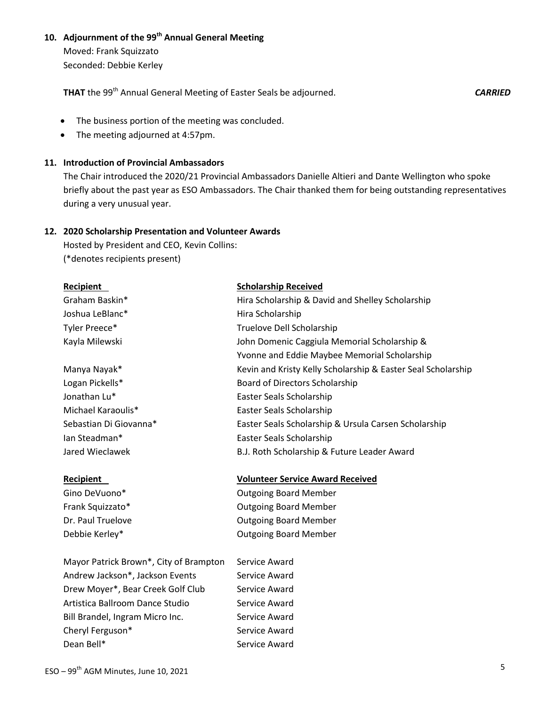# **10. Adjournment of the 99th Annual General Meeting**

Moved: Frank Squizzato Seconded: Debbie Kerley

**THAT** the 99th Annual General Meeting of Easter Seals be adjourned.*CARRIED*

- The business portion of the meeting was concluded.
- The meeting adjourned at 4:57pm.

#### **11. Introduction of Provincial Ambassadors**

The Chair introduced the 2020/21 Provincial Ambassadors Danielle Altieri and Dante Wellington who spoke briefly about the past year as ESO Ambassadors. The Chair thanked them for being outstanding representatives during a very unusual year.

#### **12. 2020 Scholarship Presentation and Volunteer Awards**

Hosted by President and CEO, Kevin Collins: (\*denotes recipients present)

Mayor Patrick Brown\*, City of Brampton Service Award Andrew Jackson\*, Jackson Events Service Award Drew Moyer\*, Bear Creek Golf Club Service Award Artistica Ballroom Dance Studio Service Award Bill Brandel, Ingram Micro Inc. Service Award Cheryl Ferguson\* Service Award Dean Bell\* Service Award

**Recipient Volunteer Service Award Received**

Gino DeVuono\* **Canadian Controllet Controllet Controllet Controllet Controllet Controllet Controllet Controllet Controllet Controllet Controllet Controllet Controllet Controllet Controllet Controllet Controllet Controllet** Frank Squizzato\* **Calcular Controller** Controller Dutgoing Board Member Dr. Paul Truelove **Caucasia** Contraction Cutgoing Board Member Debbie Kerley\* The Contract Contract Contract Outgoing Board Member